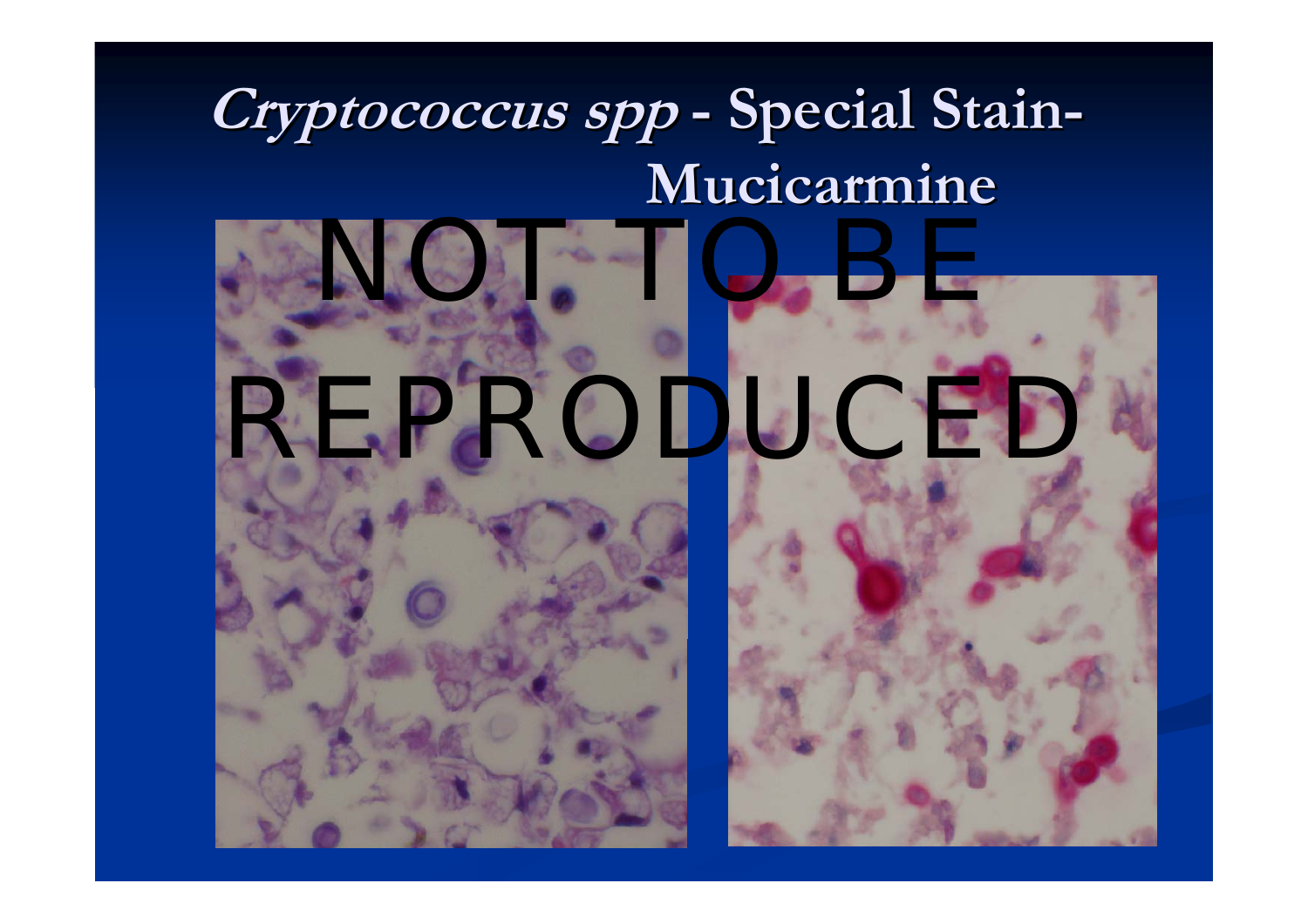#### **Cryptococcus Cryptococcus spp - Special Stain Special Stain - Mucicarmine Mucicarmine**



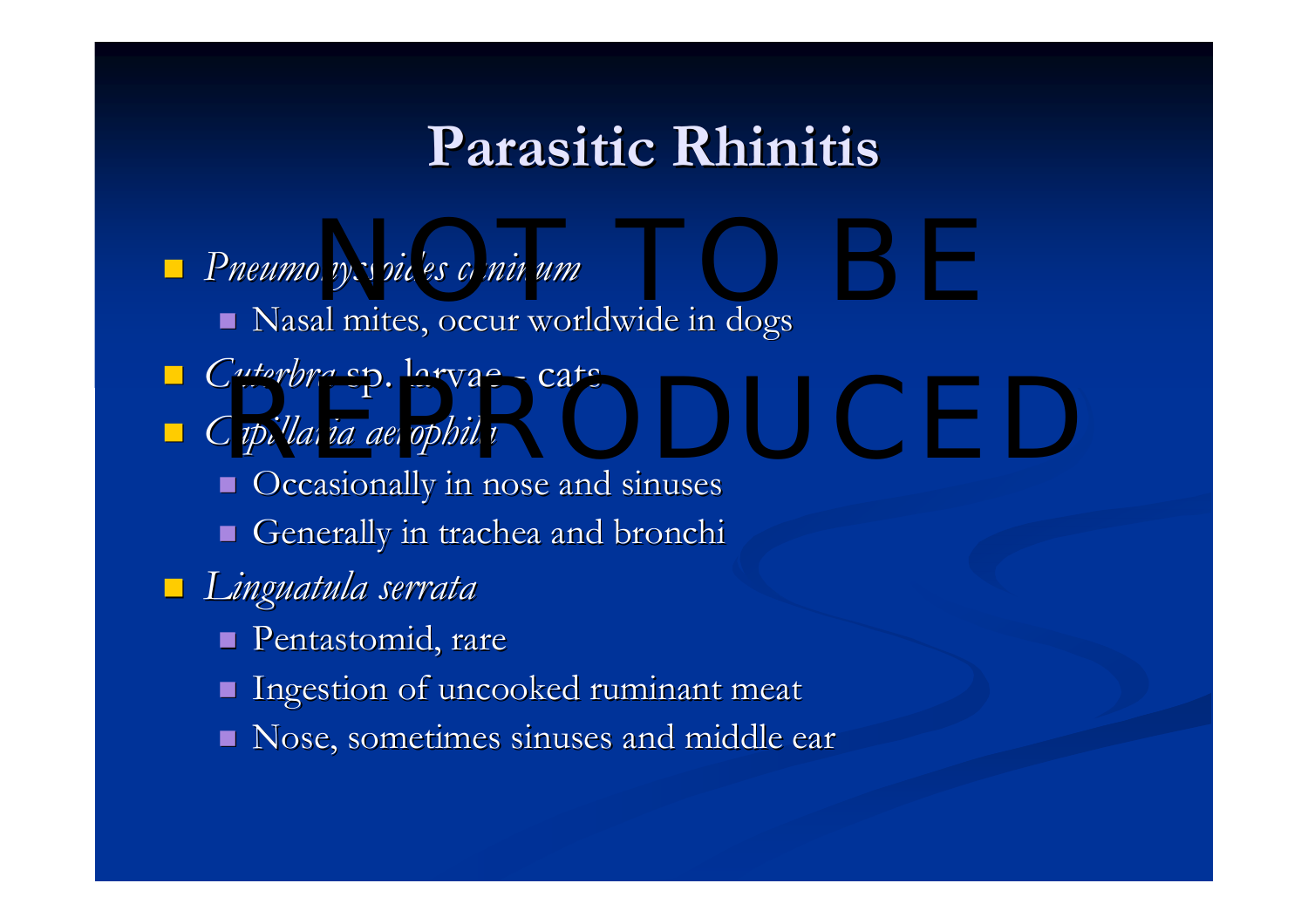### **Parasitic Rhinitis Parasitic Rhinitis**

**P**neumonyssoides *caninum*  $\blacksquare$  Nasal mites, occur worldwide in dogs *Cuterbra* sp. larvae - cats ■ Cuteroru sp. salvac = cats<br>■ *Capillaria aerophila*  $\blacksquare$  Occasionally in nose and sinuses Generally in trachea and bronchi *Linguatula Linguatula serrata serrata* **Pentastomid**, rare  $\blacksquare$  Ingestion of uncooked ruminant meat Nose, sometimes sinuses and middle ear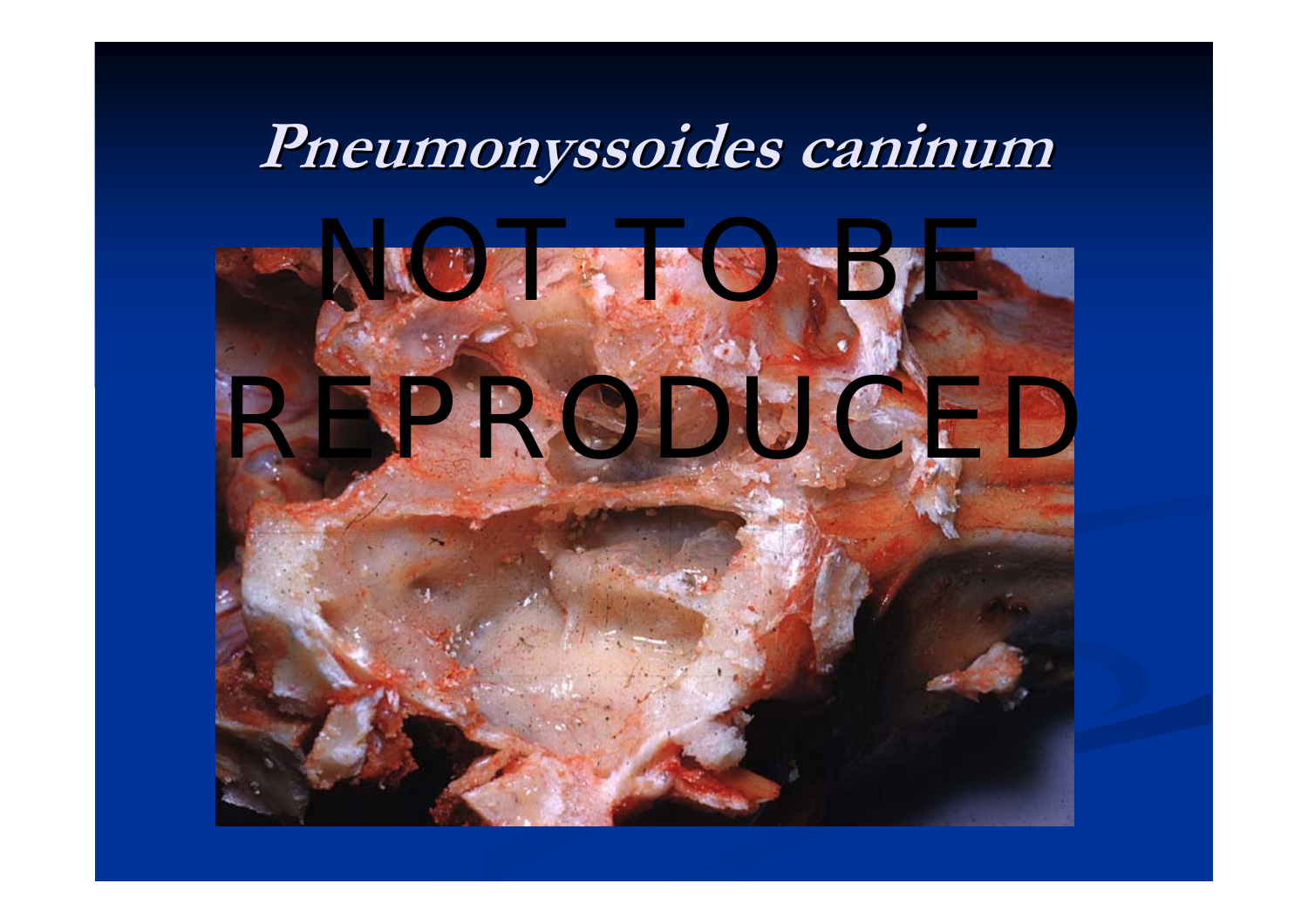# **Pneumonyssoides Pneumonyssoides caninum caninum**

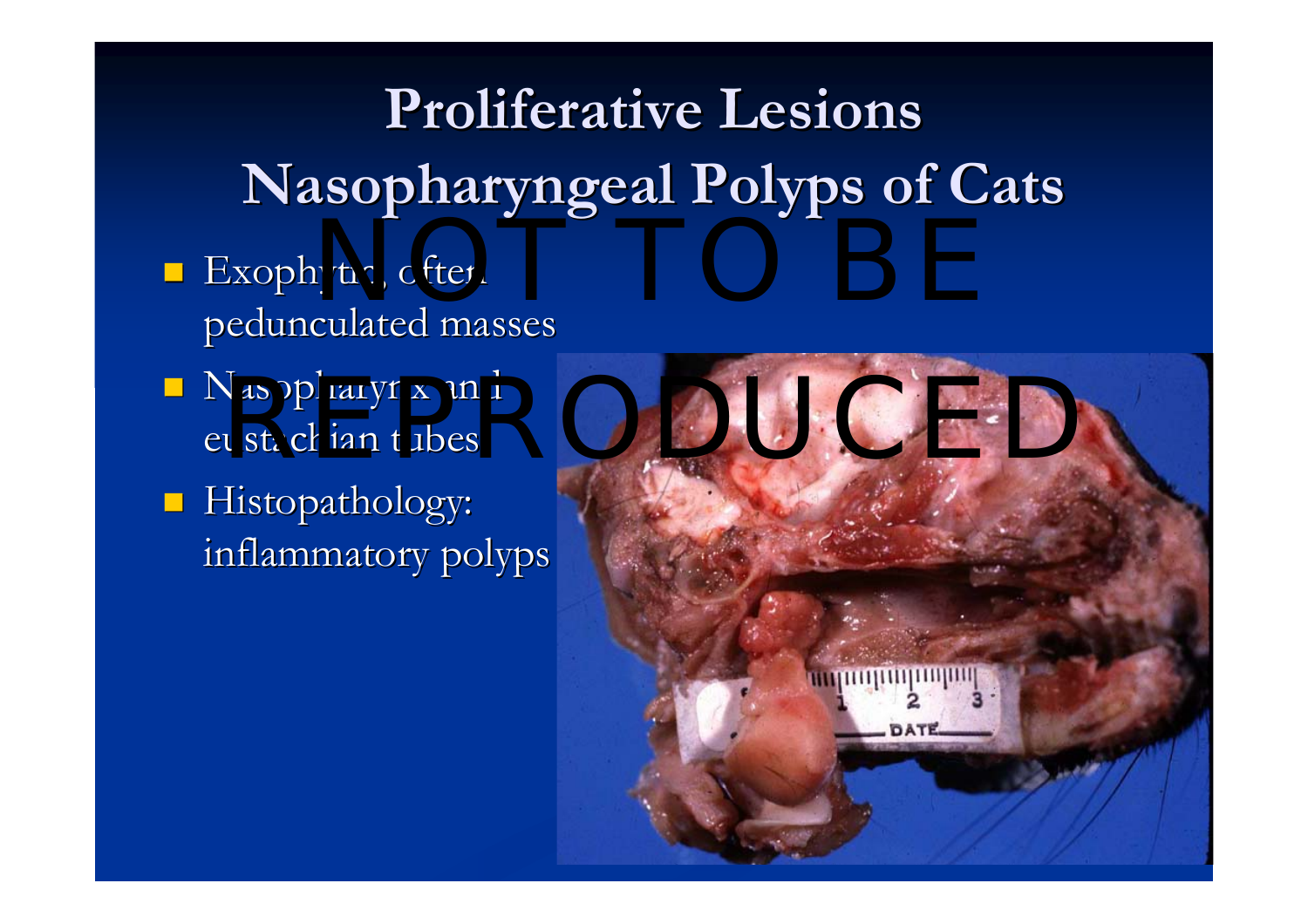**Proliferative Proliferative Lesions Lesions Nasopharyngeal Polyps of Cats Nasopharyngeal Polyps of Cats**

- Exophytic, often , and the BE state of the BE state of the BE state of the BE state of the BE state of the BE state of the BE state of the BE state of the BE state of the BE state of the BE state of the BE state of the BE pedunculated masses
- $\blacksquare$  Nasopharynx and
- **Histopathology:** inflammatory polyps inflammatory polyps

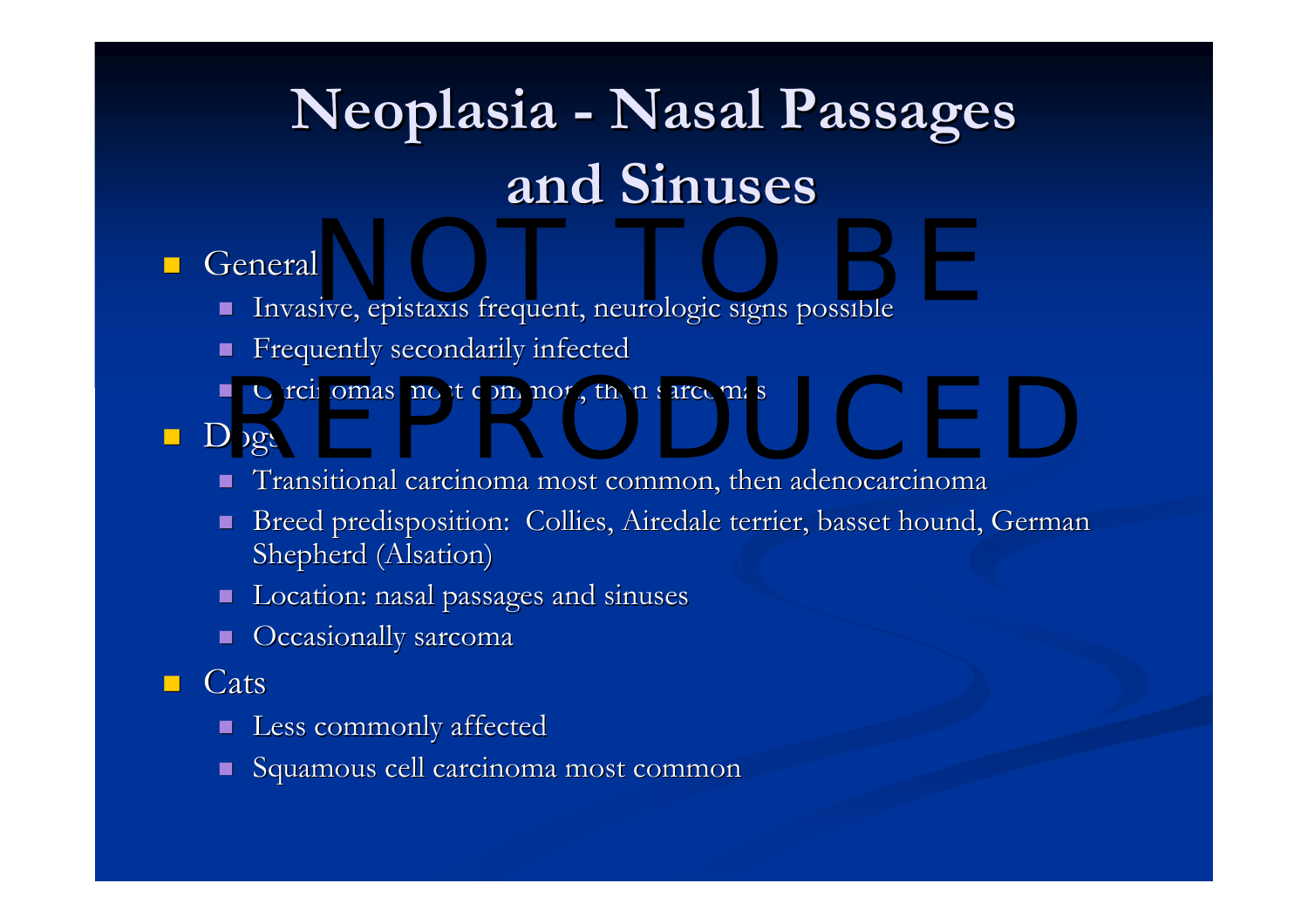# $N$  **Neoplasia - Nasal Passages and Sinuses and Sinuses**

#### $\mathbb{R}^2$ **General**

- П Invasive, epistaxis frequent, neurologic signs possible NOT TO BE A CONTRACTED ON A SERVICE OF THE CONTRACTED ON A SERVICE OF THE CONTRACTED ON A SERVICE OF THE CONTR<br>NOTE: A SERVICE OF THE CONTRACTED ON A SERVICE OF THE CONTRACTED ON A SERVICE OF THE CONTRACTED ON A SERVICE O<br>
- П Frequently secondarily infected
- П ■ Carcinomas most common, then sarcomas most common, then sarcomas most common, then sarcomas most common sarcomas most common subsets of the common service of the common service of the common service of the common servic
- Dogs
	- $\blacksquare$  Transitional carcinoma most common, then adenocarcinoma
	- $\blacksquare$ Breed predisposition: Collies, Airedale terrier, basset hound, German Shepherd (Alsation)
	- П Location: nasal passages and sinuses
	- П Occasionally sarcoma
- $\mathcal{L}$ **Cats** 
	- П Less commonly affected
	- п Squamous cell carcinoma most common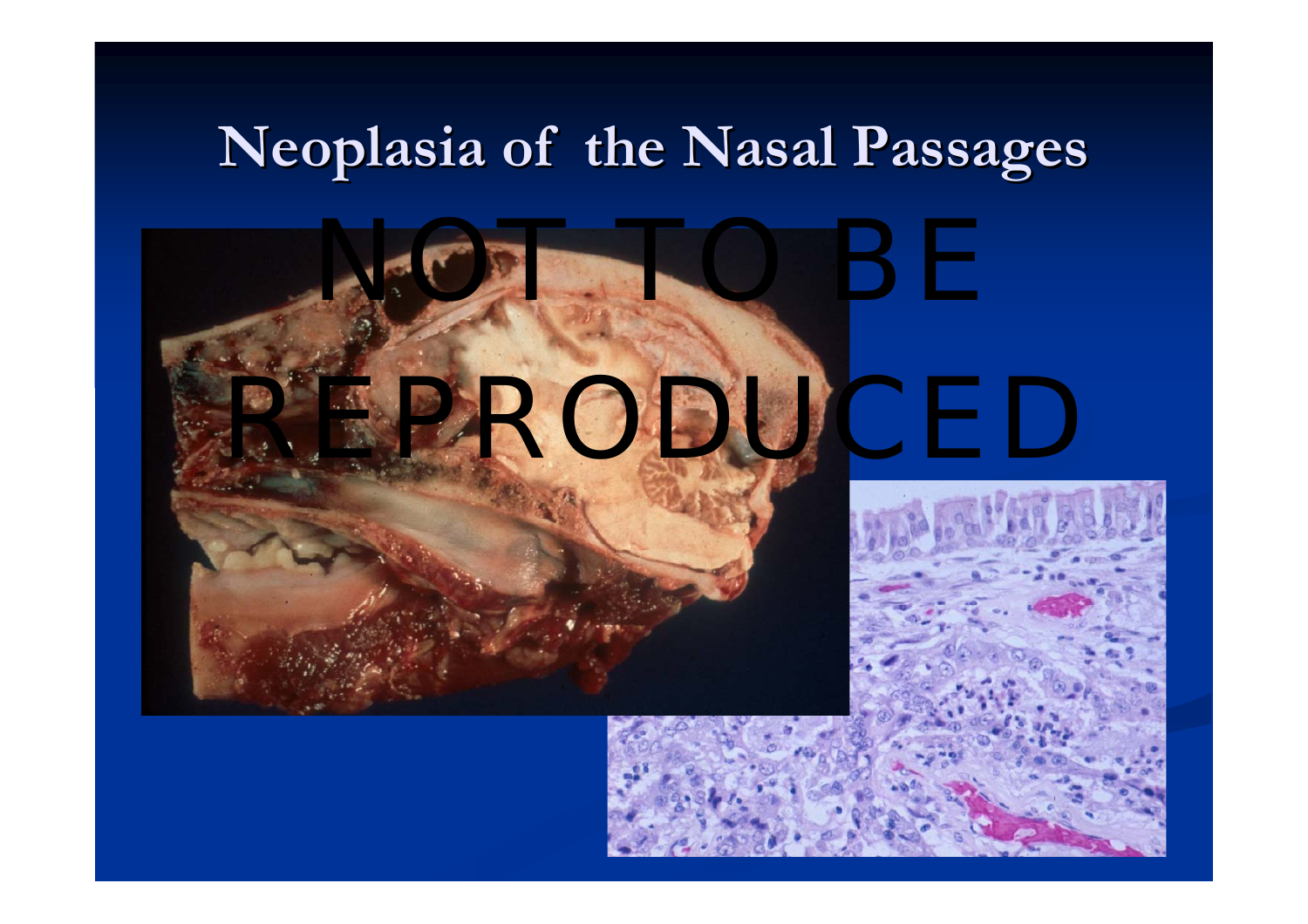### **Neoplasia Neoplasia of the Nasal Passages of the Nasal Passages**



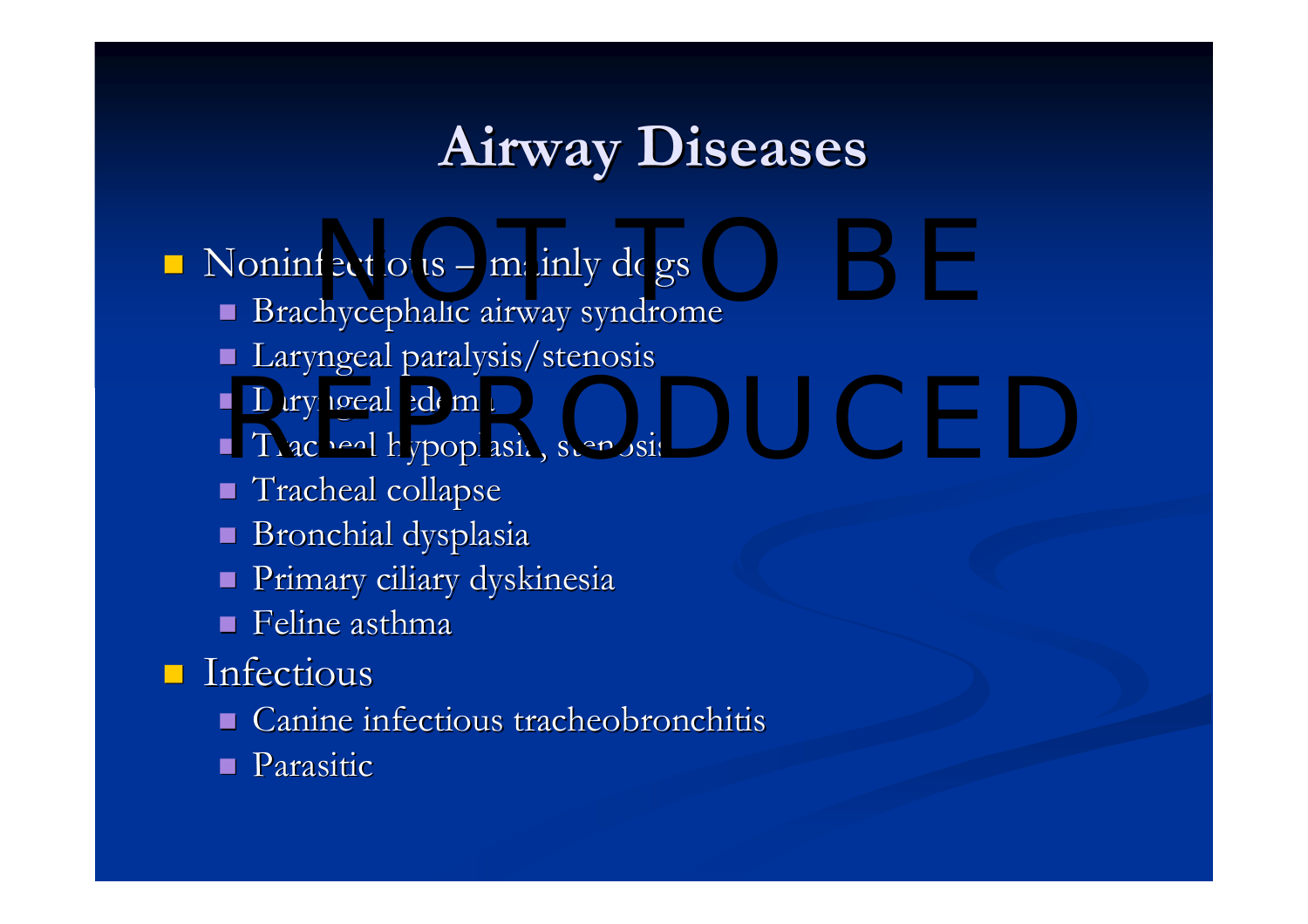## **Airway Diseases Airway Diseases**

 $\blacksquare$  Noninfectious  $\blacksquare$ Fectious – mainly dogs

- $\blacksquare$  Brachycephalic airway syndrome
- Laryngeal paralysis/stenosis
- $\blacksquare$  Laryngeal edema
- Laryngeal edema<br>■ Tracheal hypoplasia, stenosis stenosis stenosis stenosis stenosis stenosis stenosis stenosis stenosis stenos
- $\blacksquare$  Tracheal collapse
- $\blacksquare$  Bronchial dysplasia
- $\blacksquare$  Primary ciliary dyskinesia
- $\blacksquare$  Feline asthma
- $\blacksquare$  Infectious
	- $\blacksquare$  Canine infectious tracheobronchitis
	- **Parasitic**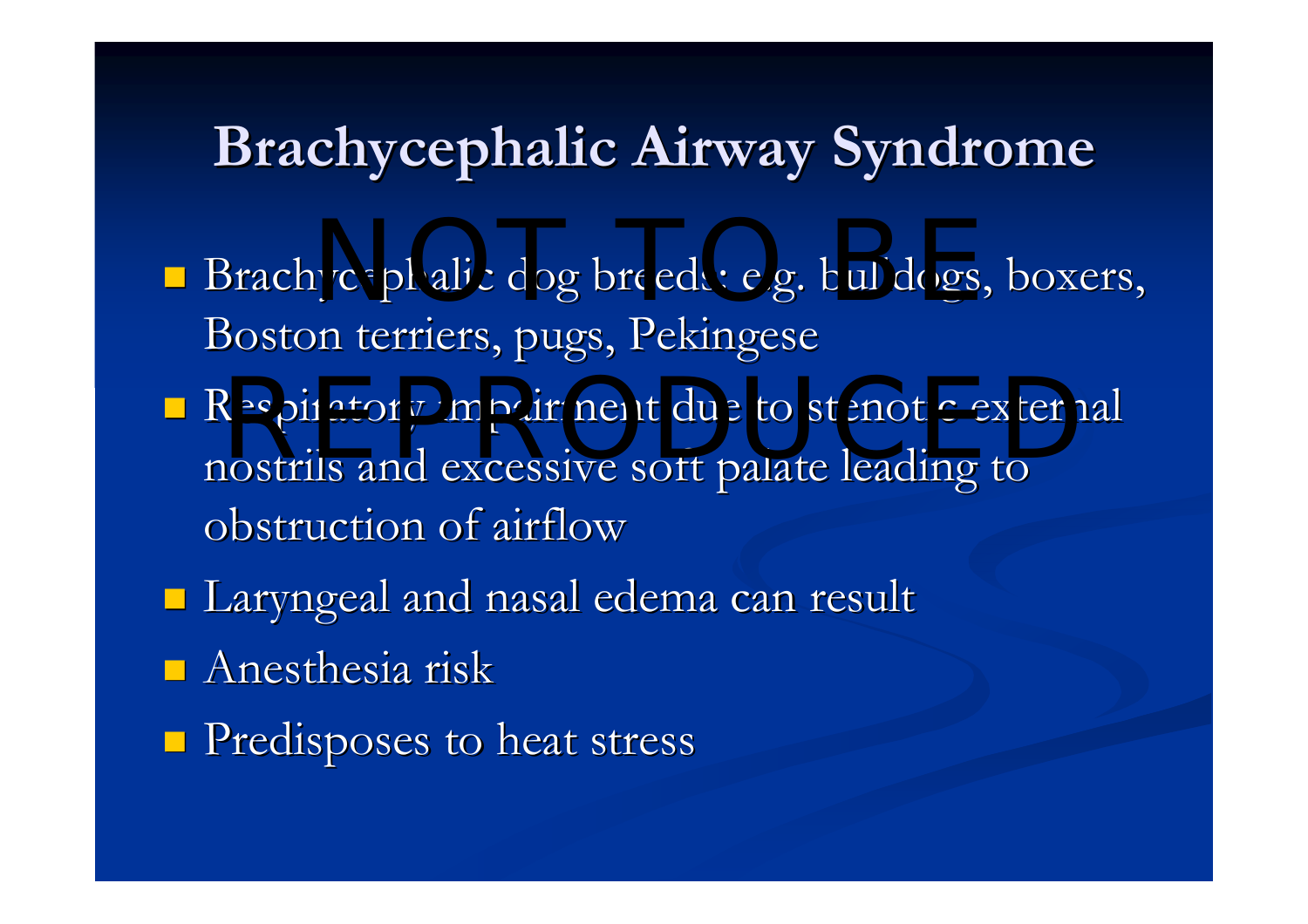### **Brachycephalic Airway Syndrome**

- Brachycephalic dog breeds: e.g. bulldogs, boxers, Boston terriers, pugs, Pekingese
- Respiratory impairment due to stenotic external nostrils and excessive soft palate leading to obstruction of airflow
- $\blacksquare$  Laryngeal and nasal edema can result
- $\blacksquare$  Anesthesia risk
- **Predisposes to heat stress**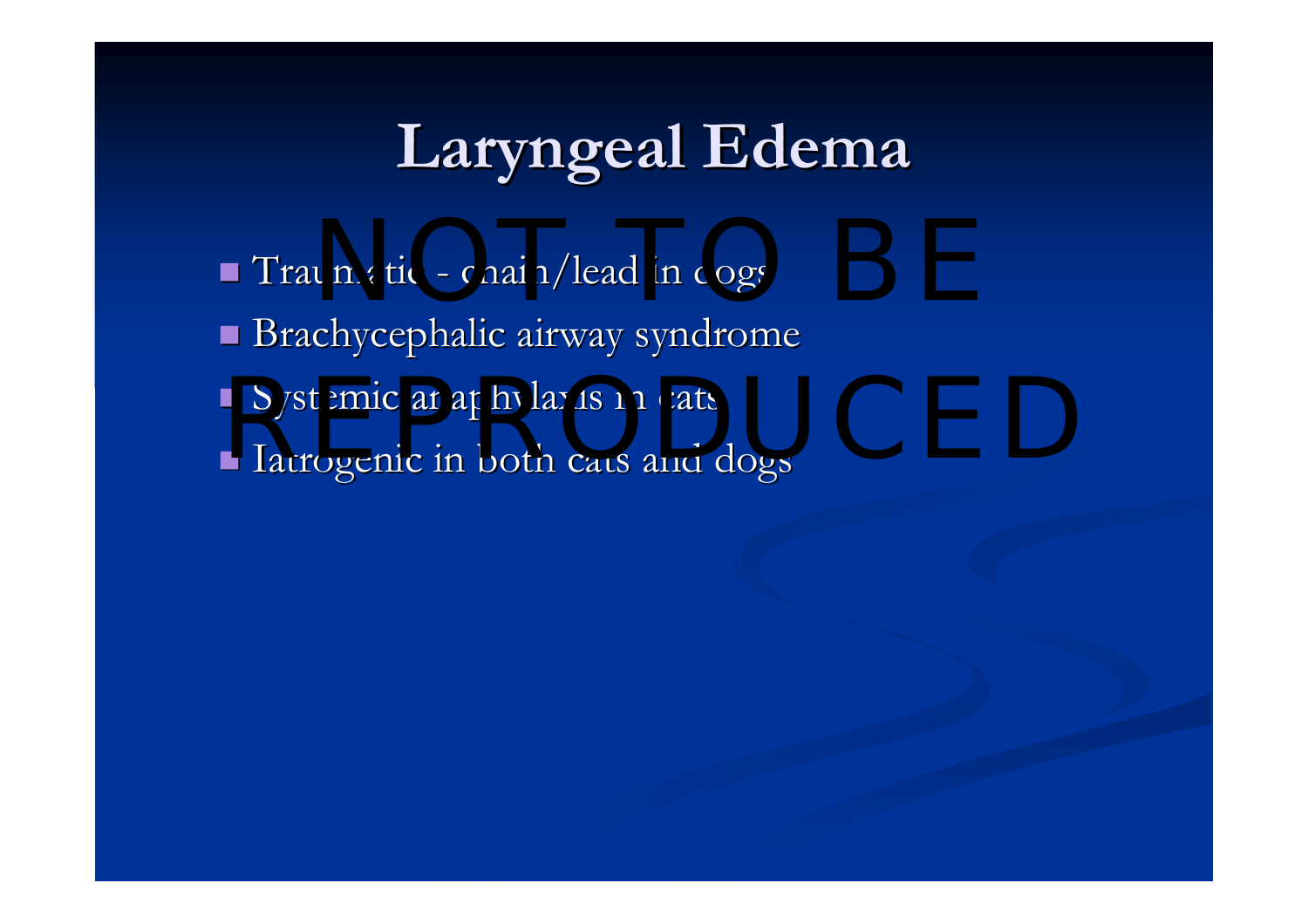# **Laryngeal Edema Laryngeal Edema**

 $\blacksquare$  Traumatic and a chain/lead in dogs  $\blacksquare$  Brachycephalic airway syndrome Systemic anaphylaxis in cats Iatrogenic in both cats and dogs Iatrogenic in both cats and dogs